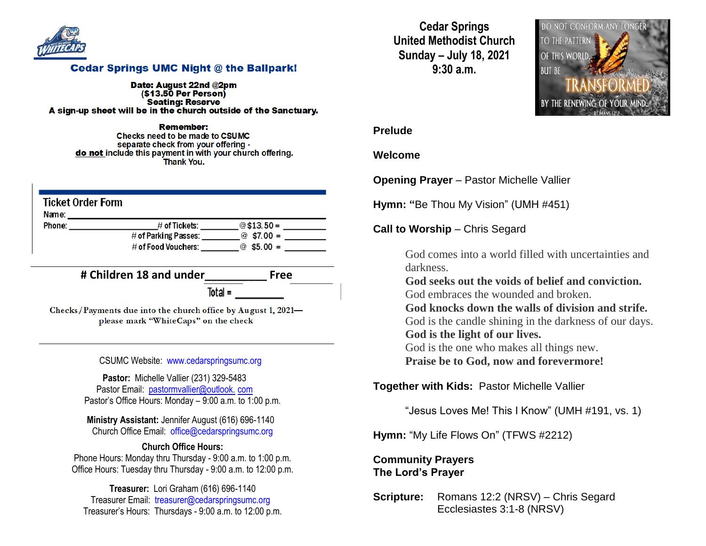

### **Cedar Springs UMC Night @ the Ballpark!**

Date: August 22nd @2pm  $($ \$13.50 Per Person $)$ **Seating: Reserve** A sign-up sheet will be in the church outside of the Sanctuary.

Remember: Checks need to be made to CSUMC separate check from your offering do not include this payment in with your church offering. **Thank You.** 

| <b>Ticket Order Form</b><br>Name: |                      |             |
|-----------------------------------|----------------------|-------------|
| Phone:                            | $\#$ of Tickets:     | $@$13.50=$  |
|                                   | # of Parking Passes: | @ $$7.00 =$ |
|                                   | # of Food Vouchers:  | @ $$5.00 =$ |

**# Children 18 and under\_\_\_\_\_\_\_\_\_\_ Free**

 $Total =$ 

Checks/Payments due into the church office by August 1, 2021please mark "WhiteCaps" on the check

CSUMC Website: [www.cedarspringsumc.org](http://www.cedarspringsumc.org/)

**Pastor:** Michelle Vallier (231) 329-5483 Pastor Email: [pastormvallier@outlook.](mailto:pastormvallier@outlook.com) com Pastor's Office Hours: Monday – 9:00 a.m. to 1:00 p.m.

**Ministry Assistant:** Jennifer August (616) 696-1140 Church Office Email: [office@cedarspringsumc.org](mailto:office@cedarspringsumc.org)

#### **Church Office Hours:**

Phone Hours: Monday thru Thursday - 9:00 a.m. to 1:00 p.m. Office Hours: Tuesday thru Thursday - 9:00 a.m. to 12:00 p.m.

**Treasurer:** Lori Graham (616) 696-1140 Treasurer Email: treasurer@cedarspringsumc.org Treasurer's Hours: Thursdays - 9:00 a.m. to 12:00 p.m.

**Cedar Springs United Methodist Church Sunday – July 18, 2021 9:30 a.m.**



#### **Prelude**

#### **Welcome**

**Opening Prayer** – Pastor Michelle Vallier

**Hymn: "**Be Thou My Vision" (UMH #451)

**Call to Worship** – Chris Segard

God comes into a world filled with uncertainties and darkness.

**God seeks out the voids of belief and conviction.** God embraces the wounded and broken.

**God knocks down the walls of division and strife.**

God is the candle shining in the darkness of our days. **God is the light of our lives.**

God is the one who makes all things new.

**Praise be to God, now and forevermore!**

**Together with Kids:** Pastor Michelle Vallier

"Jesus Loves Me! This I Know" (UMH #191, vs. 1)

**Hymn:** "My Life Flows On" (TFWS #2212)

## **Community Prayers The Lord's Prayer**

**Scripture:** Romans 12:2 (NRSV) – Chris Segard Ecclesiastes 3:1-8 (NRSV)